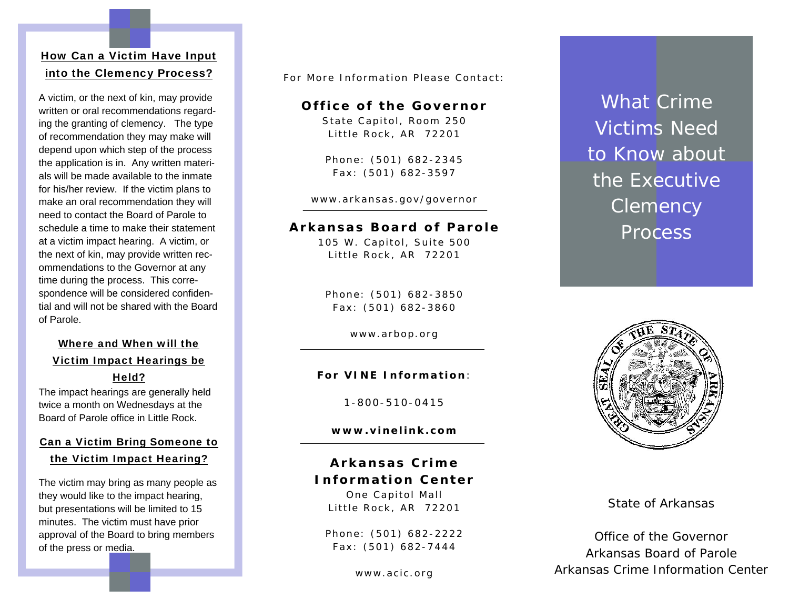#### How Can a Victim Have Input into the Clemency Process?

A victim, or the next of kin, may provide written or oral recommendations regarding the granting of clemency. The type of recommendation they may make will depend upon which step of the process the application is in. Any written materials will be made available to the inmate for his/her review. If the victim plans to make an oral recommendation they will need to contact the Board of Parole to schedule a time to make their statement at a victim impact hearing. A victim, or the next of kin, may provide written recommendations to the Governor at any time during the process. This correspondence will be considered confidential and will not be shared with the Board of Parole.

#### Where and When will the Victim Impact Hearings be Held?

The impact hearings are generally held twice a month on Wednesdays at the Board of Parole office in Little Rock.

### Can a Victim Bring Someone to the Victim Impact Hearing?

The victim may bring as many people as they would like to the impact hearing, but presentations will be limited to 15 minutes. The victim must have prior approval of the Board to bring members of the press or media.

For More Information Please Contact:

#### **Office of the Governor**

State Capitol, Room 250 Little Rock, AR 72201

Phone: (501) 682-2345 Fax: (501) 682-3597

www.arkansas.gov/governor

#### **Arkansas Board of Parole**

105 W. Capitol, Suite 500 Little Rock, AR 72201

Phone: (501) 682-3850 Fax: (501) 682-3860

www.arbop.org

#### **For VINE Information** :

1-800-510-0415

**www.vinelink.com** 

### **Arkansas Crime Information Center**

One Capitol Mall Little Rock, AR 72201

Phone: (501) 682-2222 Fax: (501) 682-7444

www.acic.org

What Crime Victims Need to Know about the Executive **Clemency** Process



State of Arkansas

Office of the Governor Arkansas Board of Parole Arkansas Crime Information Center